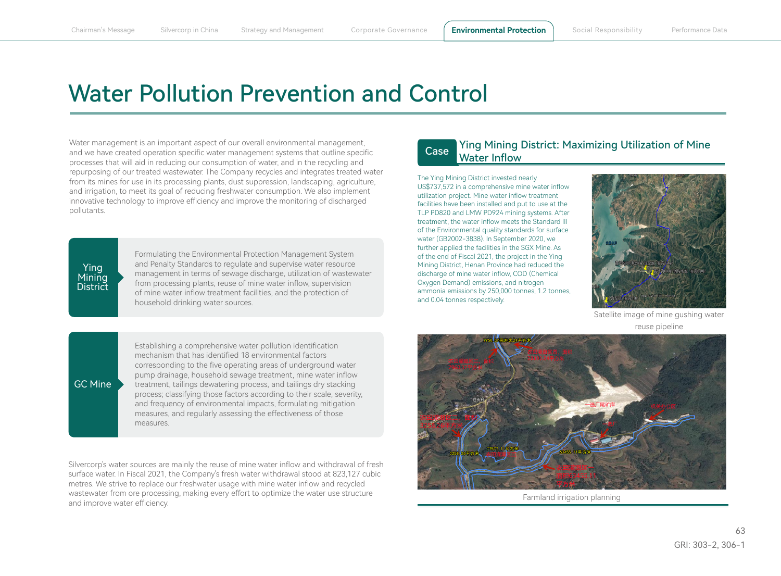# Water Pollution Prevention and Control

Water management is an important aspect of our overall environmental management, and we have created operation specific water management systems that outline specific processes that will aid in reducing our consumption of water, and in the recycling and repurposing of our treated wastewater. The Company recycles and integrates treated water from its mines for use in its processing plants, dust suppression, landscaping, agriculture, and irrigation, to meet its goal of reducing freshwater consumption. We also implement innovative technology to improve efficiency and improve the monitoring of discharged pollutants.

### **Ying Mining District**

GC Mine

Formulating the Environmental Protection Management System and Penalty Standards to regulate and supervise water resource management in terms of sewage discharge, utilization of wastewater from processing plants, reuse of mine water inflow, supervision of mine water inflow treatment facilities, and the protection of household drinking water sources.

#### Ying Mining District: Maximizing Utilization of Mine Water Inflow Case

The Ying Mining District invested nearly US\$737,572 in a comprehensive mine water inflow utilization project. Mine water inflow treatment facilities have been installed and put to use at the TLP PD820 and LMW PD924 mining systems. After treatment, the water inflow meets the Standard III of the Environmental quality standards for surface water (GB2002-3838). In September 2020, we further applied the facilities in the SGX Mine. As of the end of Fiscal 2021, the project in the Ying Mining District, Henan Province had reduced the discharge of mine water inflow, COD (Chemical Oxygen Demand) emissions, and nitrogen ammonia emissions by 250,000 tonnes, 1.2 tonnes, and 0.04 tonnes respectively.



Satellite image of mine gushing water reuse pipeline

Establishing a comprehensive water pollution identification mechanism that has identified 18 environmental factors corresponding to the five operating areas of underground water pump drainage, household sewage treatment, mine water inflow treatment, tailings dewatering process, and tailings dry stacking process; classifying those factors according to their scale, severity, and frequency of environmental impacts, formulating mitigation measures, and regularly assessing the effectiveness of those measures.

Silvercorp's water sources are mainly the reuse of mine water inflow and withdrawal of fresh surface water. In Fiscal 2021, the Company's fresh water withdrawal stood at 823,127 cubic metres. We strive to replace our freshwater usage with mine water inflow and recycled wastewater from ore processing, making every effort to optimize the water use structure and improve water efficiency.



Farmland irrigation planning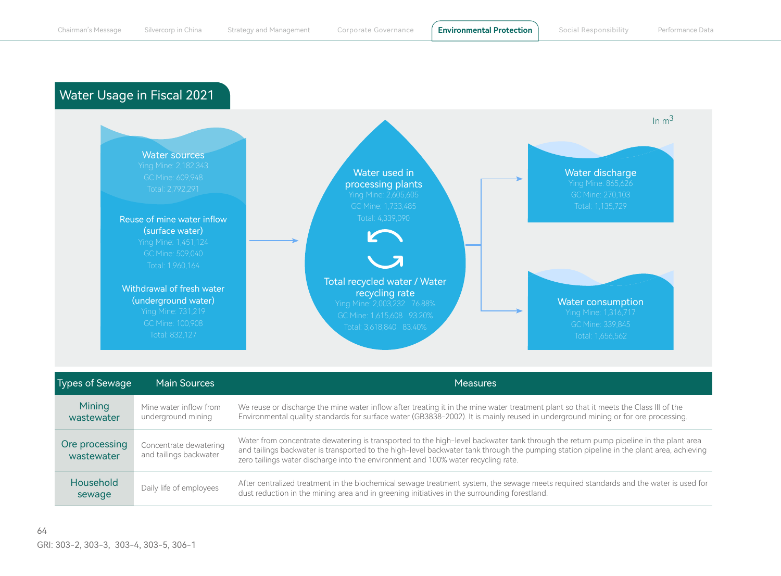## Water Usage in Fiscal 2021



| re processing<br>wastewater | Concentrate dewatering<br>and tailings backwater | Water from concentrate dewatering is transported to the high-level backwater tank through the return pump pipeline in the plant area<br>and tailings backwater is transported to the high-level backwater tank through the pumping station pipeline in the plant area, achieving<br>zero tailings water discharge into the environment and 100% water recycling rate. |
|-----------------------------|--------------------------------------------------|-----------------------------------------------------------------------------------------------------------------------------------------------------------------------------------------------------------------------------------------------------------------------------------------------------------------------------------------------------------------------|
| Household<br>sewage         | Daily life of employees                          | After centralized treatment in the biochemical sewage treatment system, the sewage meets required standards and the water is used for<br>dust reduction in the mining area and in greening initiatives in the surrounding forestland.                                                                                                                                 |

sewage

Ore